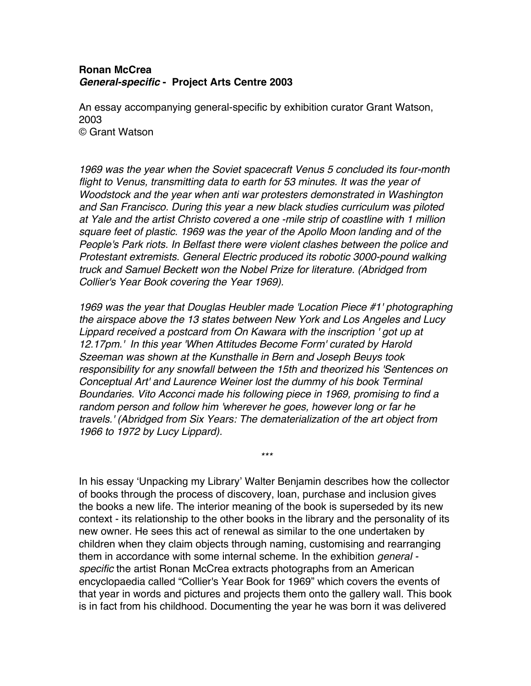## **Ronan McCrea**  *General-specific* **- Project Arts Centre 2003**

An essay accompanying general-specific by exhibition curator Grant Watson, 2003 © Grant Watson

*1969 was the year when the Soviet spacecraft Venus 5 concluded its four-month flight to Venus, transmitting data to earth for 53 minutes. It was the year of Woodstock and the year when anti war protesters demonstrated in Washington and San Francisco. During this year a new black studies curriculum was piloted at Yale and the artist Christo covered a one -mile strip of coastline with 1 million square feet of plastic. 1969 was the year of the Apollo Moon landing and of the People's Park riots. In Belfast there were violent clashes between the police and Protestant extremists. General Electric produced its robotic 3000-pound walking truck and Samuel Beckett won the Nobel Prize for literature. (Abridged from Collier's Year Book covering the Year 1969).*

*1969 was the year that Douglas Heubler made 'Location Piece #1' photographing the airspace above the 13 states between New York and Los Angeles and Lucy Lippard received a postcard from On Kawara with the inscription ' got up at 12.17pm.' In this year 'When Attitudes Become Form' curated by Harold Szeeman was shown at the Kunsthalle in Bern and Joseph Beuys took responsibility for any snowfall between the 15th and theorized his 'Sentences on Conceptual Art' and Laurence Weiner lost the dummy of his book Terminal Boundaries. Vito Acconci made his following piece in 1969, promising to find a random person and follow him 'wherever he goes, however long or far he travels.' (Abridged from Six Years: The dematerialization of the art object from 1966 to 1972 by Lucy Lippard).*

*\*\*\**

In his essay 'Unpacking my Library' Walter Benjamin describes how the collector of books through the process of discovery, loan, purchase and inclusion gives the books a new life. The interior meaning of the book is superseded by its new context - its relationship to the other books in the library and the personality of its new owner. He sees this act of renewal as similar to the one undertaken by children when they claim objects through naming, customising and rearranging them in accordance with some internal scheme. In the exhibition *general specific* the artist Ronan McCrea extracts photographs from an American encyclopaedia called "Collier's Year Book for 1969" which covers the events of that year in words and pictures and projects them onto the gallery wall. This book is in fact from his childhood. Documenting the year he was born it was delivered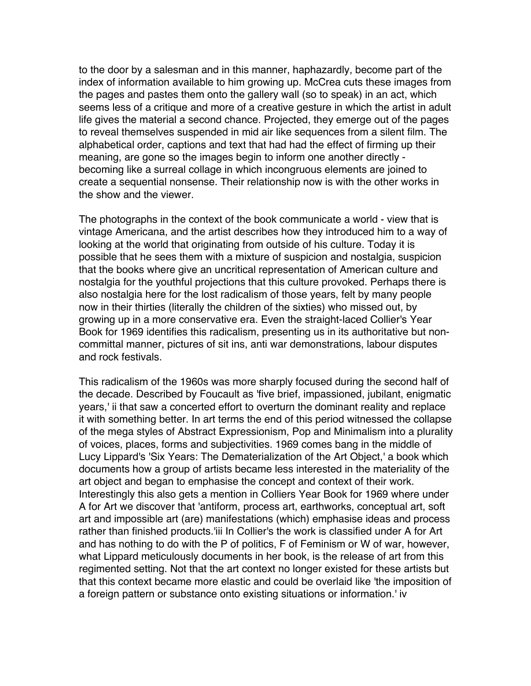to the door by a salesman and in this manner, haphazardly, become part of the index of information available to him growing up. McCrea cuts these images from the pages and pastes them onto the gallery wall (so to speak) in an act, which seems less of a critique and more of a creative gesture in which the artist in adult life gives the material a second chance. Projected, they emerge out of the pages to reveal themselves suspended in mid air like sequences from a silent film. The alphabetical order, captions and text that had had the effect of firming up their meaning, are gone so the images begin to inform one another directly becoming like a surreal collage in which incongruous elements are joined to create a sequential nonsense. Their relationship now is with the other works in the show and the viewer.

The photographs in the context of the book communicate a world - view that is vintage Americana, and the artist describes how they introduced him to a way of looking at the world that originating from outside of his culture. Today it is possible that he sees them with a mixture of suspicion and nostalgia, suspicion that the books where give an uncritical representation of American culture and nostalgia for the youthful projections that this culture provoked. Perhaps there is also nostalgia here for the lost radicalism of those years, felt by many people now in their thirties (literally the children of the sixties) who missed out, by growing up in a more conservative era. Even the straight-laced Collier's Year Book for 1969 identifies this radicalism, presenting us in its authoritative but noncommittal manner, pictures of sit ins, anti war demonstrations, labour disputes and rock festivals.

This radicalism of the 1960s was more sharply focused during the second half of the decade. Described by Foucault as 'five brief, impassioned, jubilant, enigmatic years,' ii that saw a concerted effort to overturn the dominant reality and replace it with something better. In art terms the end of this period witnessed the collapse of the mega styles of Abstract Expressionism, Pop and Minimalism into a plurality of voices, places, forms and subjectivities. 1969 comes bang in the middle of Lucy Lippard's 'Six Years: The Dematerialization of the Art Object,' a book which documents how a group of artists became less interested in the materiality of the art object and began to emphasise the concept and context of their work. Interestingly this also gets a mention in Colliers Year Book for 1969 where under A for Art we discover that 'antiform, process art, earthworks, conceptual art, soft art and impossible art (are) manifestations (which) emphasise ideas and process rather than finished products.'iii In Collier's the work is classified under A for Art and has nothing to do with the P of politics, F of Feminism or W of war, however, what Lippard meticulously documents in her book, is the release of art from this regimented setting. Not that the art context no longer existed for these artists but that this context became more elastic and could be overlaid like 'the imposition of a foreign pattern or substance onto existing situations or information.' iv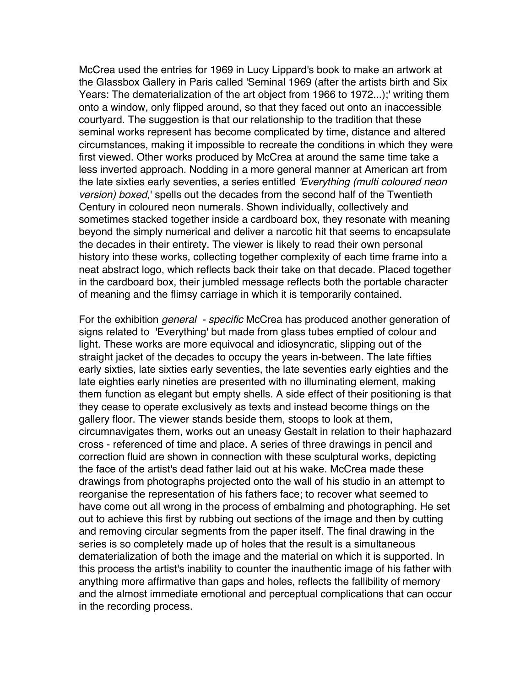McCrea used the entries for 1969 in Lucy Lippard's book to make an artwork at the Glassbox Gallery in Paris called 'Seminal 1969 (after the artists birth and Six Years: The dematerialization of the art object from 1966 to 1972...);' writing them onto a window, only flipped around, so that they faced out onto an inaccessible courtyard. The suggestion is that our relationship to the tradition that these seminal works represent has become complicated by time, distance and altered circumstances, making it impossible to recreate the conditions in which they were first viewed. Other works produced by McCrea at around the same time take a less inverted approach. Nodding in a more general manner at American art from the late sixties early seventies, a series entitled *'Everything (multi coloured neon version) boxed*,' spells out the decades from the second half of the Twentieth Century in coloured neon numerals. Shown individually, collectively and sometimes stacked together inside a cardboard box, they resonate with meaning beyond the simply numerical and deliver a narcotic hit that seems to encapsulate the decades in their entirety. The viewer is likely to read their own personal history into these works, collecting together complexity of each time frame into a neat abstract logo, which reflects back their take on that decade. Placed together in the cardboard box, their jumbled message reflects both the portable character of meaning and the flimsy carriage in which it is temporarily contained.

For the exhibition *general - specific* McCrea has produced another generation of signs related to 'Everything' but made from glass tubes emptied of colour and light. These works are more equivocal and idiosyncratic, slipping out of the straight jacket of the decades to occupy the years in-between. The late fifties early sixties, late sixties early seventies, the late seventies early eighties and the late eighties early nineties are presented with no illuminating element, making them function as elegant but empty shells. A side effect of their positioning is that they cease to operate exclusively as texts and instead become things on the gallery floor. The viewer stands beside them, stoops to look at them, circumnavigates them, works out an uneasy Gestalt in relation to their haphazard cross - referenced of time and place. A series of three drawings in pencil and correction fluid are shown in connection with these sculptural works, depicting the face of the artist's dead father laid out at his wake. McCrea made these drawings from photographs projected onto the wall of his studio in an attempt to reorganise the representation of his fathers face; to recover what seemed to have come out all wrong in the process of embalming and photographing. He set out to achieve this first by rubbing out sections of the image and then by cutting and removing circular segments from the paper itself. The final drawing in the series is so completely made up of holes that the result is a simultaneous dematerialization of both the image and the material on which it is supported. In this process the artist's inability to counter the inauthentic image of his father with anything more affirmative than gaps and holes, reflects the fallibility of memory and the almost immediate emotional and perceptual complications that can occur in the recording process.